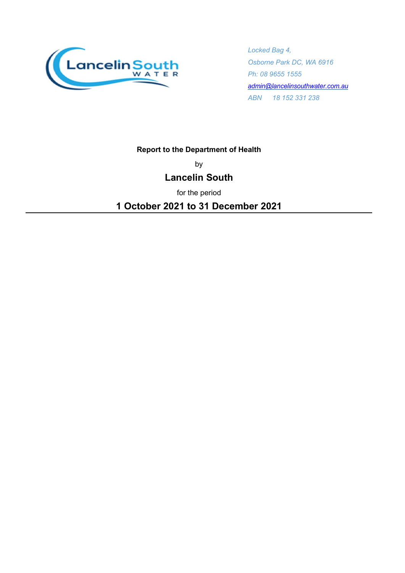

*Locked Bag 4, Osborne Park DC, WA 6916 Ph: 08 9655 1555 [admin@lancelinsouthwater.com.au](mailto:admin@lancelinsouthwater.com.au) ABN 18 152 331 238*

### **Report to the Department of Health**

by

## **Lancelin South**

for the period

**1 October 2021 to 31 December 2021**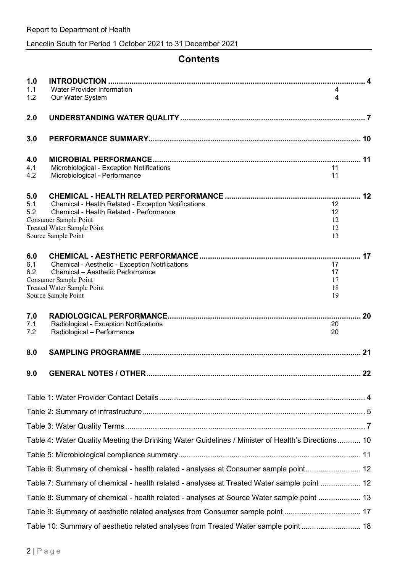# **Contents**

| 1.0        |                                                                                                   |          |    |
|------------|---------------------------------------------------------------------------------------------------|----------|----|
| 1.1<br>1.2 | Water Provider Information<br>Our Water System                                                    | 4<br>4   |    |
| 2.0        |                                                                                                   |          |    |
| 3.0        |                                                                                                   |          |    |
| 4.0        |                                                                                                   |          |    |
| 4.1        | Microbiological - Exception Notifications                                                         | 11       |    |
| 4.2        | Microbiological - Performance                                                                     | 11       |    |
| 5.0        |                                                                                                   |          | 12 |
| 5.1<br>5.2 | Chemical - Health Related - Exception Notifications<br>Chemical - Health Related - Performance    | 12<br>12 |    |
|            | Consumer Sample Point                                                                             | 12       |    |
|            | Treated Water Sample Point<br>Source Sample Point                                                 | 12<br>13 |    |
|            |                                                                                                   |          |    |
| 6.0        |                                                                                                   |          | 17 |
| 6.1<br>6.2 | Chemical - Aesthetic - Exception Notifications<br>Chemical - Aesthetic Performance                | 17<br>17 |    |
|            | Consumer Sample Point                                                                             | 17       |    |
|            | Treated Water Sample Point<br>Source Sample Point                                                 | 18<br>19 |    |
|            |                                                                                                   |          |    |
| 7.0<br>7.1 | Radiological - Exception Notifications                                                            | 20       | 20 |
| 7.2        | Radiological - Performance                                                                        | 20       |    |
| 8.0        |                                                                                                   |          | 21 |
| 9.0        |                                                                                                   |          | 22 |
|            |                                                                                                   |          |    |
|            |                                                                                                   |          |    |
|            |                                                                                                   |          |    |
|            | Table 4: Water Quality Meeting the Drinking Water Guidelines / Minister of Health's Directions 10 |          |    |
|            |                                                                                                   |          |    |
|            | Table 6: Summary of chemical - health related - analyses at Consumer sample point 12              |          |    |
|            | Table 7: Summary of chemical - health related - analyses at Treated Water sample point  12        |          |    |
|            | Table 8: Summary of chemical - health related - analyses at Source Water sample point  13         |          |    |
|            |                                                                                                   |          |    |
|            | Table 10: Summary of aesthetic related analyses from Treated Water sample point 18                |          |    |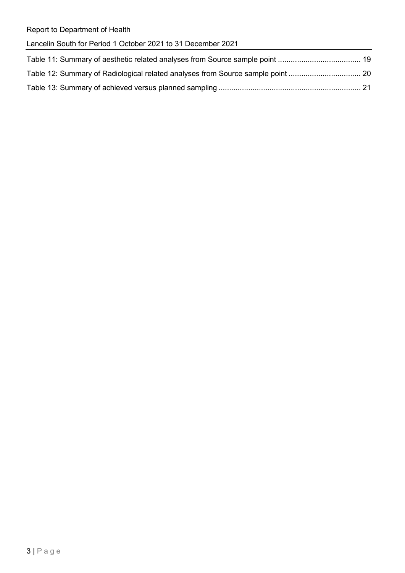|  |  |  | Lancelin South for Period 1 October 2021 to 31 December 2021 |  |
|--|--|--|--------------------------------------------------------------|--|
|  |  |  |                                                              |  |

| Table 12: Summary of Radiological related analyses from Source sample point  20 |  |
|---------------------------------------------------------------------------------|--|
|                                                                                 |  |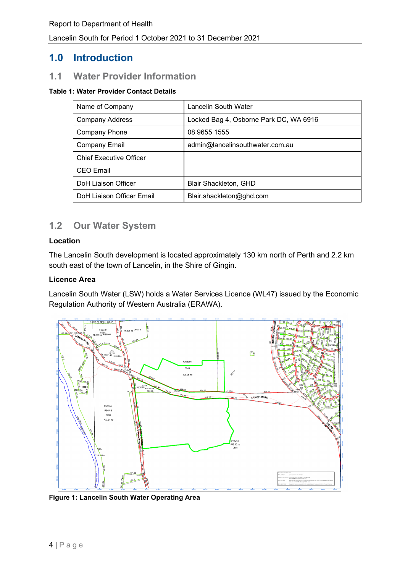## **1.0 Introduction**

## **1.1 Water Provider Information**

#### <span id="page-3-0"></span>**Table 1: Water Provider Contact Details**

| Name of Company                | Lancelin South Water                   |  |  |
|--------------------------------|----------------------------------------|--|--|
| <b>Company Address</b>         | Locked Bag 4, Osborne Park DC, WA 6916 |  |  |
| <b>Company Phone</b>           | 08 9655 1555                           |  |  |
| <b>Company Email</b>           | admin@lancelinsouthwater.com.au        |  |  |
| <b>Chief Executive Officer</b> |                                        |  |  |
| <b>CEO</b> Email               |                                        |  |  |
| <b>DoH Liaison Officer</b>     | Blair Shackleton, GHD                  |  |  |
| DoH Liaison Officer Email      | Blair.shackleton@ghd.com               |  |  |

## **1.2 Our Water System**

#### **Location**

The Lancelin South development is located approximately 130 km north of Perth and 2.2 km south east of the town of Lancelin, in the Shire of Gingin.

### **Licence Area**

Lancelin South Water (LSW) holds a Water Services Licence (WL47) issued by the Economic Regulation Authority of Western Australia (ERAWA).



<span id="page-3-1"></span>**Figure 1: Lancelin South Water Operating Area**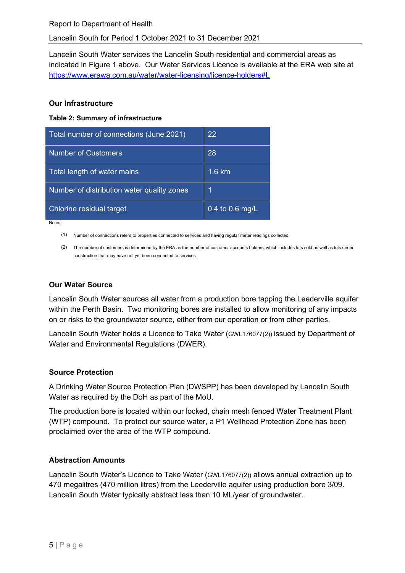Lancelin South Water services the Lancelin South residential and commercial areas as indicated in [Figure 1](#page-3-1) above. Our Water Services Licence is available at the ERA web site at <https://www.erawa.com.au/water/water-licensing/licence-holders#L>

#### **Our Infrastructure**

<span id="page-4-0"></span>**Table 2: Summary of infrastructure**

| Total number of connections (June 2021)    | 22              |
|--------------------------------------------|-----------------|
| <b>Number of Customers</b>                 | 28              |
| Total length of water mains                | 1.6 km          |
| Number of distribution water quality zones | 1               |
| Chlorine residual target                   | 0.4 to 0.6 mg/L |

Notes:

(1) Number of connections refers to properties connected to services and having regular meter readings collected.

(2) The number of customers is determined by the ERA as the number of customer accounts holders, which includes lots sold as well as lots under construction that may have not yet been connected to services.

### **Our Water Source**

Lancelin South Water sources all water from a production bore tapping the Leederville aquifer within the Perth Basin. Two monitoring bores are installed to allow monitoring of any impacts on or risks to the groundwater source, either from our operation or from other parties.

Lancelin South Water holds a Licence to Take Water (GWL176077(2)) issued by Department of Water and Environmental Regulations (DWER).

### **Source Protection**

A Drinking Water Source Protection Plan (DWSPP) has been developed by Lancelin South Water as required by the DoH as part of the MoU.

The production bore is located within our locked, chain mesh fenced Water Treatment Plant (WTP) compound. To protect our source water, a P1 Wellhead Protection Zone has been proclaimed over the area of the WTP compound.

### **Abstraction Amounts**

Lancelin South Water's Licence to Take Water (GWL176077(2)) allows annual extraction up to 470 megalitres (470 million litres) from the Leederville aquifer using production bore 3/09. Lancelin South Water typically abstract less than 10 ML/year of groundwater.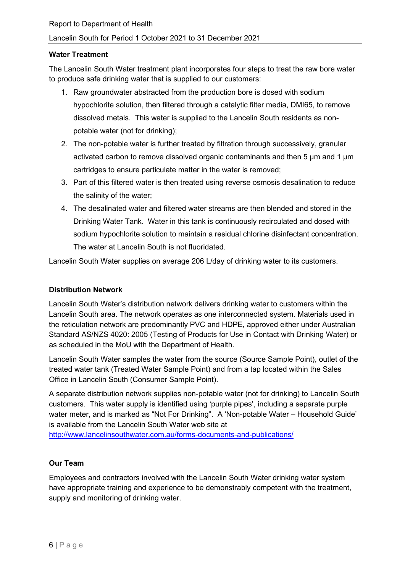#### **Water Treatment**

The Lancelin South Water treatment plant incorporates four steps to treat the raw bore water to produce safe drinking water that is supplied to our customers:

- 1. Raw groundwater abstracted from the production bore is dosed with sodium hypochlorite solution, then filtered through a catalytic filter media, DMI65, to remove dissolved metals. This water is supplied to the Lancelin South residents as nonpotable water (not for drinking);
- 2. The non-potable water is further treated by filtration through successively, granular activated carbon to remove dissolved organic contaminants and then 5 µm and 1 µm cartridges to ensure particulate matter in the water is removed;
- 3. Part of this filtered water is then treated using reverse osmosis desalination to reduce the salinity of the water;
- 4. The desalinated water and filtered water streams are then blended and stored in the Drinking Water Tank. Water in this tank is continuously recirculated and dosed with sodium hypochlorite solution to maintain a residual chlorine disinfectant concentration. The water at Lancelin South is not fluoridated.

Lancelin South Water supplies on average 206 L/day of drinking water to its customers.

### **Distribution Network**

Lancelin South Water's distribution network delivers drinking water to customers within the Lancelin South area. The network operates as one interconnected system. Materials used in the reticulation network are predominantly PVC and HDPE, approved either under Australian Standard AS/NZS 4020: 2005 (Testing of Products for Use in Contact with Drinking Water) or as scheduled in the MoU with the Department of Health.

Lancelin South Water samples the water from the source (Source Sample Point), outlet of the treated water tank (Treated Water Sample Point) and from a tap located within the Sales Office in Lancelin South (Consumer Sample Point).

A separate distribution network supplies non-potable water (not for drinking) to Lancelin South customers. This water supply is identified using 'purple pipes', including a separate purple water meter, and is marked as "Not For Drinking". A 'Non-potable Water – Household Guide' is available from the Lancelin South Water web site at <http://www.lancelinsouthwater.com.au/forms-documents-and-publications/>

#### **Our Team**

Employees and contractors involved with the Lancelin South Water drinking water system have appropriate training and experience to be demonstrably competent with the treatment, supply and monitoring of drinking water.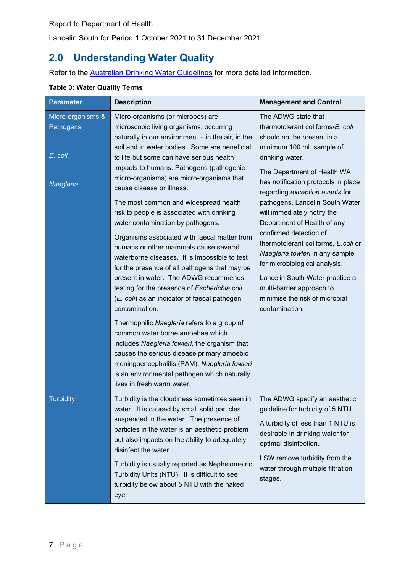# **2.0 Understanding Water Quality**

Refer to the **Australian Drinking Water Guidelines** for more detailed information.

| <b>Parameter</b>                                       | <b>Description</b>                                                                                                                                                                                                                                                                                                                                                                                                                                                                                                                                                                                                                                                                                                                                                                                                                                                                                                                                                                                                                                                                                                       | <b>Management and Control</b>                                                                                                                                                                                                                                                                                                                                                                                                                                                                                                                                                                          |
|--------------------------------------------------------|--------------------------------------------------------------------------------------------------------------------------------------------------------------------------------------------------------------------------------------------------------------------------------------------------------------------------------------------------------------------------------------------------------------------------------------------------------------------------------------------------------------------------------------------------------------------------------------------------------------------------------------------------------------------------------------------------------------------------------------------------------------------------------------------------------------------------------------------------------------------------------------------------------------------------------------------------------------------------------------------------------------------------------------------------------------------------------------------------------------------------|--------------------------------------------------------------------------------------------------------------------------------------------------------------------------------------------------------------------------------------------------------------------------------------------------------------------------------------------------------------------------------------------------------------------------------------------------------------------------------------------------------------------------------------------------------------------------------------------------------|
| Micro-organisms &<br>Pathogens<br>E. coli<br>Naegleria | Micro-organisms (or microbes) are<br>microscopic living organisms, occurring<br>naturally in our environment - in the air, in the<br>soil and in water bodies. Some are beneficial<br>to life but some can have serious health<br>impacts to humans. Pathogens (pathogenic<br>micro-organisms) are micro-organisms that<br>cause disease or illness.<br>The most common and widespread health<br>risk to people is associated with drinking<br>water contamination by pathogens.<br>Organisms associated with faecal matter from<br>humans or other mammals cause several<br>waterborne diseases. It is impossible to test<br>for the presence of all pathogens that may be<br>present in water. The ADWG recommends<br>testing for the presence of Escherichia coli<br>(E. coli) as an indicator of faecal pathogen<br>contamination.<br>Thermophilic Naegleria refers to a group of<br>common water borne amoebae which<br>includes Naegleria fowleri, the organism that<br>causes the serious disease primary amoebic<br>meningoencephalitis (PAM). Naegleria fowleri<br>is an environmental pathogen which naturally | The ADWG state that<br>thermotolerant coliforms/E. coli<br>should not be present in a<br>minimum 100 mL sample of<br>drinking water.<br>The Department of Health WA<br>has notification protocols in place<br>regarding exception events for<br>pathogens. Lancelin South Water<br>will immediately notify the<br>Department of Health of any<br>confirmed detection of<br>thermotolerant coliforms, E.coli or<br>Naegleria fowleri in any sample<br>for microbiological analysis.<br>Lancelin South Water practice a<br>multi-barrier approach to<br>minimise the risk of microbial<br>contamination. |
| <b>Turbidity</b>                                       | lives in fresh warm water.<br>Turbidity is the cloudiness sometimes seen in<br>water. It is caused by small solid particles<br>suspended in the water. The presence of<br>particles in the water is an aesthetic problem<br>but also impacts on the ability to adequately<br>disinfect the water.<br>Turbidity is usually reported as Nephelometric<br>Turbidity Units (NTU). It is difficult to see<br>turbidity below about 5 NTU with the naked<br>eye.                                                                                                                                                                                                                                                                                                                                                                                                                                                                                                                                                                                                                                                               | The ADWG specify an aesthetic<br>guideline for turbidity of 5 NTU.<br>A turbidity of less than 1 NTU is<br>desirable in drinking water for<br>optimal disinfection.<br>LSW remove turbidity from the<br>water through multiple filtration<br>stages.                                                                                                                                                                                                                                                                                                                                                   |

### <span id="page-6-0"></span>**Table 3: Water Quality Terms**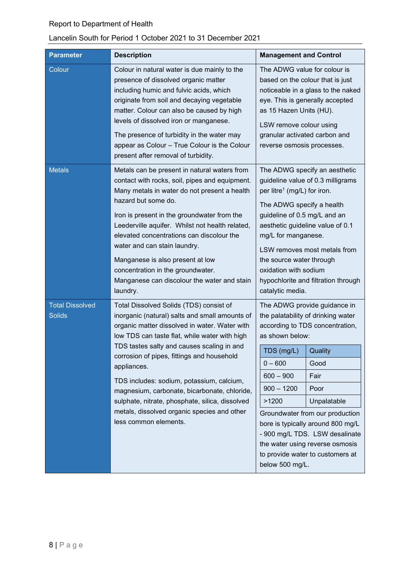## Lancelin South for Period 1 October 2021 to 31 December 2021

| <b>Parameter</b>                        | <b>Description</b>                                                                                                                                                                                                                                                                                                                                                                                                                                                                                                             | <b>Management and Control</b>                                                                                                                                                                                                                                                                                                                                                                                                                     |  |  |
|-----------------------------------------|--------------------------------------------------------------------------------------------------------------------------------------------------------------------------------------------------------------------------------------------------------------------------------------------------------------------------------------------------------------------------------------------------------------------------------------------------------------------------------------------------------------------------------|---------------------------------------------------------------------------------------------------------------------------------------------------------------------------------------------------------------------------------------------------------------------------------------------------------------------------------------------------------------------------------------------------------------------------------------------------|--|--|
| Colour                                  | Colour in natural water is due mainly to the<br>presence of dissolved organic matter<br>including humic and fulvic acids, which<br>originate from soil and decaying vegetable<br>matter. Colour can also be caused by high<br>levels of dissolved iron or manganese.<br>The presence of turbidity in the water may<br>appear as Colour - True Colour is the Colour<br>present after removal of turbidity.                                                                                                                      | The ADWG value for colour is<br>based on the colour that is just<br>noticeable in a glass to the naked<br>eye. This is generally accepted<br>as 15 Hazen Units (HU).<br>LSW remove colour using<br>granular activated carbon and<br>reverse osmosis processes.                                                                                                                                                                                    |  |  |
| <b>Metals</b>                           | Metals can be present in natural waters from<br>contact with rocks, soil, pipes and equipment.<br>Many metals in water do not present a health<br>hazard but some do.<br>Iron is present in the groundwater from the<br>Leederville aquifer. Whilst not health related,<br>elevated concentrations can discolour the<br>water and can stain laundry.<br>Manganese is also present at low<br>concentration in the groundwater.<br>Manganese can discolour the water and stain<br>laundry.                                       | The ADWG specify an aesthetic<br>guideline value of 0.3 milligrams<br>per litre <sup>1</sup> (mg/L) for iron.<br>The ADWG specify a health<br>guideline of 0.5 mg/L and an<br>aesthetic guideline value of 0.1<br>mg/L for manganese.<br>LSW removes most metals from<br>the source water through<br>oxidation with sodium<br>hypochlorite and filtration through<br>catalytic media.                                                             |  |  |
| <b>Total Dissolved</b><br><b>Solids</b> | Total Dissolved Solids (TDS) consist of<br>inorganic (natural) salts and small amounts of<br>organic matter dissolved in water. Water with<br>low TDS can taste flat, while water with high<br>TDS tastes salty and causes scaling in and<br>corrosion of pipes, fittings and household<br>appliances.<br>TDS includes: sodium, potassium, calcium,<br>magnesium, carbonate, bicarbonate, chloride,<br>sulphate, nitrate, phosphate, silica, dissolved<br>metals, dissolved organic species and other<br>less common elements. | The ADWG provide guidance in<br>the palatability of drinking water<br>according to TDS concentration,<br>as shown below:<br>TDS (mg/L)<br>Quality<br>$0 - 600$<br>Good<br>$600 - 900$<br>Fair<br>$900 - 1200$<br>Poor<br>Unpalatable<br>>1200<br>Groundwater from our production<br>bore is typically around 800 mg/L<br>- 900 mg/L TDS. LSW desalinate<br>the water using reverse osmosis<br>to provide water to customers at<br>below 500 mg/L. |  |  |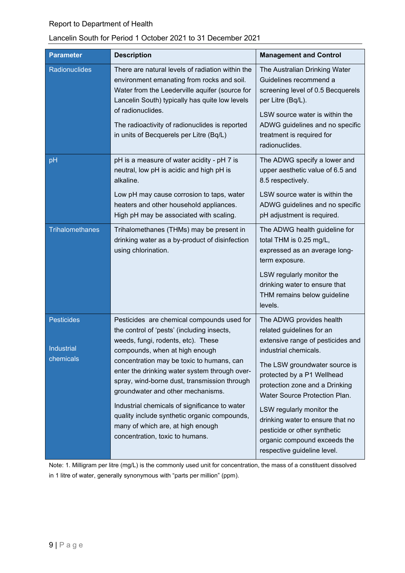## Lancelin South for Period 1 October 2021 to 31 December 2021

| <b>Parameter</b>                      | <b>Description</b>                                                                                                                                                                                                                                                                                                                                                                                                                                                                                                           | <b>Management and Control</b>                                                                                                                                                                                                                                                                                                                                                                                         |
|---------------------------------------|------------------------------------------------------------------------------------------------------------------------------------------------------------------------------------------------------------------------------------------------------------------------------------------------------------------------------------------------------------------------------------------------------------------------------------------------------------------------------------------------------------------------------|-----------------------------------------------------------------------------------------------------------------------------------------------------------------------------------------------------------------------------------------------------------------------------------------------------------------------------------------------------------------------------------------------------------------------|
| Radionuclides                         | There are natural levels of radiation within the<br>environment emanating from rocks and soil.<br>Water from the Leederville aquifer (source for<br>Lancelin South) typically has quite low levels<br>of radionuclides.<br>The radioactivity of radionuclides is reported<br>in units of Becquerels per Litre (Bq/L)                                                                                                                                                                                                         | The Australian Drinking Water<br>Guidelines recommend a<br>screening level of 0.5 Becquerels<br>per Litre (Bq/L).<br>LSW source water is within the<br>ADWG guidelines and no specific<br>treatment is required for<br>radionuclides.                                                                                                                                                                                 |
| pH                                    | pH is a measure of water acidity - pH 7 is<br>neutral, low pH is acidic and high pH is<br>alkaline.<br>Low pH may cause corrosion to taps, water<br>heaters and other household appliances.<br>High pH may be associated with scaling.                                                                                                                                                                                                                                                                                       | The ADWG specify a lower and<br>upper aesthetic value of 6.5 and<br>8.5 respectively.<br>LSW source water is within the<br>ADWG guidelines and no specific<br>pH adjustment is required.                                                                                                                                                                                                                              |
| Trihalomethanes                       | Trihalomethanes (THMs) may be present in<br>drinking water as a by-product of disinfection<br>using chlorination.                                                                                                                                                                                                                                                                                                                                                                                                            | The ADWG health guideline for<br>total THM is 0.25 mg/L,<br>expressed as an average long-<br>term exposure.<br>LSW regularly monitor the<br>drinking water to ensure that<br>THM remains below guideline<br>levels.                                                                                                                                                                                                   |
| Pesticides<br>Industrial<br>chemicals | Pesticides are chemical compounds used for<br>the control of 'pests' (including insects,<br>weeds, fungi, rodents, etc). These<br>compounds, when at high enough<br>concentration may be toxic to humans, can<br>enter the drinking water system through over-<br>spray, wind-borne dust, transmission through<br>groundwater and other mechanisms.<br>Industrial chemicals of significance to water<br>quality include synthetic organic compounds,<br>many of which are, at high enough<br>concentration, toxic to humans. | The ADWG provides health<br>related guidelines for an<br>extensive range of pesticides and<br>industrial chemicals.<br>The LSW groundwater source is<br>protected by a P1 Wellhead<br>protection zone and a Drinking<br>Water Source Protection Plan.<br>LSW regularly monitor the<br>drinking water to ensure that no<br>pesticide or other synthetic<br>organic compound exceeds the<br>respective guideline level. |

Note: 1. Milligram per litre (mg/L) is the commonly used unit for concentration, the mass of a constituent dissolved in 1 litre of water, generally synonymous with "parts per million" (ppm).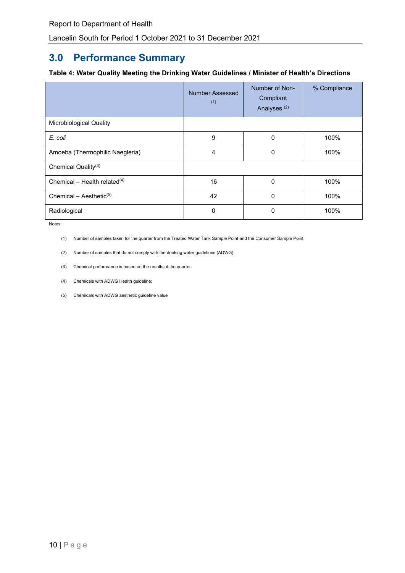# **3.0 Performance Summary**

#### <span id="page-9-0"></span>**Table 4: Water Quality Meeting the Drinking Water Guidelines / Minister of Health's Directions**

|                                     | <b>Number Assessed</b><br>(1) | Number of Non-<br>Compliant<br>Analyses <sup>(2)</sup> | % Compliance |
|-------------------------------------|-------------------------------|--------------------------------------------------------|--------------|
| Microbiological Quality             |                               |                                                        |              |
| E. coli                             | 9                             | 0                                                      | 100%         |
| Amoeba (Thermophilic Naegleria)     | $\overline{4}$                | 0                                                      | 100%         |
| Chemical Quality <sup>(3)</sup>     |                               |                                                        |              |
| Chemical – Health related $(4)$     | 16                            | $\mathbf 0$                                            | 100%         |
| Chemical – Aesthetic <sup>(5)</sup> | 42                            | 0                                                      | 100%         |
| Radiological                        | 0                             | 0                                                      | 100%         |

Notes:

(1) Number of samples taken for the quarter from the Treated Water Tank Sample Point and the Consumer Sample Point

- (2) Number of samples that do not comply with the drinking water guidelines (ADWG).
- (3) Chemical performance is based on the results of the quarter.
- (4) Chemicals with ADWG Health guideline;
- (5) Chemicals with ADWG aesthetic guideline value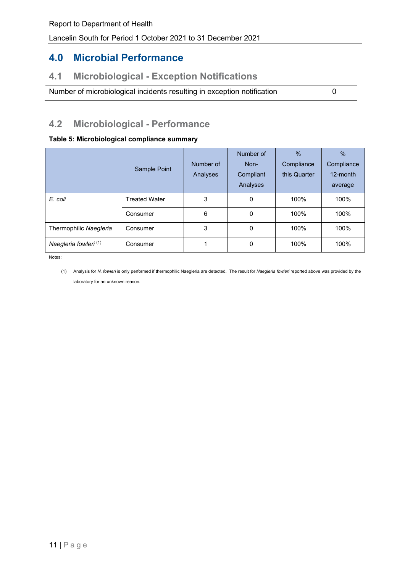# **4.0 Microbial Performance**

## **4.1 Microbiological - Exception Notifications**

Number of microbiological incidents resulting in exception notification 0

# **4.2 Microbiological - Performance**

#### <span id="page-10-0"></span>**Table 5: Microbiological compliance summary**

|                        | Sample Point         | Number of<br>Analyses | Number of<br>Non-<br>Compliant<br>Analyses | $\frac{0}{0}$<br>Compliance<br>this Quarter | $\%$<br>Compliance<br>12-month<br>average |
|------------------------|----------------------|-----------------------|--------------------------------------------|---------------------------------------------|-------------------------------------------|
| E. coli                | <b>Treated Water</b> | 3                     | 0                                          | 100%                                        | 100%                                      |
|                        | Consumer             | 6                     | 0                                          | 100%                                        | 100%                                      |
| Thermophilic Naegleria | Consumer             | 3                     | 0                                          | 100%                                        | 100%                                      |
| Naegleria fowleri (1)  | Consumer             |                       | 0                                          | 100%                                        | 100%                                      |

Notes:

(1) Analysis for *N. fowleri* is only performed if thermophilic Naegleria are detected. The result for *Naegleria fowleri* reported above was provided by the laboratory for an unknown reason.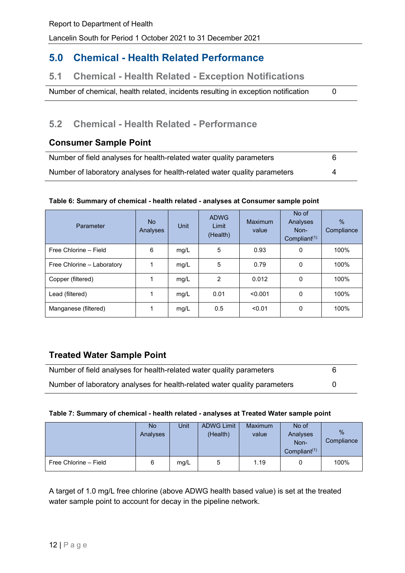## **5.0 Chemical - Health Related Performance**

## **5.1 Chemical - Health Related - Exception Notifications**

Number of chemical, health related, incidents resulting in exception notification 0

## **5.2 Chemical - Health Related - Performance**

### **Consumer Sample Point**

| Number of field analyses for health-related water quality parameters      | 6 |  |
|---------------------------------------------------------------------------|---|--|
| Number of laboratory analyses for health-related water quality parameters | Δ |  |

#### <span id="page-11-0"></span>**Table 6: Summary of chemical - health related - analyses at Consumer sample point**

| Parameter                  | No.<br>Analyses | Unit | <b>ADWG</b><br>Limit<br>(Health) | Maximum<br>value | No of<br>Analyses<br>Non-<br>Compliant $(1)$ | $\%$<br>Compliance |
|----------------------------|-----------------|------|----------------------------------|------------------|----------------------------------------------|--------------------|
| Free Chlorine - Field      | 6               | mg/L | 5                                | 0.93             | 0                                            | 100%               |
| Free Chlorine - Laboratory |                 | mg/L | 5                                | 0.79             | 0                                            | 100%               |
| Copper (filtered)          |                 | mg/L | 2                                | 0.012            | 0                                            | 100%               |
| Lead (filtered)            |                 | mg/L | 0.01                             | < 0.001          | 0                                            | 100%               |
| Manganese (filtered)       |                 | mg/L | 0.5                              | < 0.01           | 0                                            | 100%               |

## **Treated Water Sample Point**

| Number of field analyses for health-related water quality parameters      | 6 |
|---------------------------------------------------------------------------|---|
| Number of laboratory analyses for health-related water quality parameters |   |

#### <span id="page-11-1"></span>**Table 7: Summary of chemical - health related - analyses at Treated Water sample point**

|                       | No.<br>Analyses | Unit | <b>ADWG Limit</b><br>(Health) | <b>Maximum</b><br>value | No of<br>Analyses<br>Non-<br>Compliant <sup><math>(1)</math></sup> | %<br>Compliance |
|-----------------------|-----------------|------|-------------------------------|-------------------------|--------------------------------------------------------------------|-----------------|
| Free Chlorine - Field | 6               | mg/L | 5                             | 1.19                    | 0                                                                  | 100%            |

A target of 1.0 mg/L free chlorine (above ADWG health based value) is set at the treated water sample point to account for decay in the pipeline network.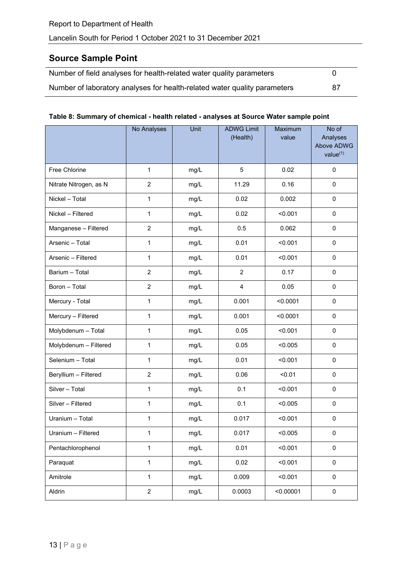## **Source Sample Point**

| Number of field analyses for health-related water quality parameters      |    |
|---------------------------------------------------------------------------|----|
| Number of laboratory analyses for health-related water quality parameters | 87 |

### <span id="page-12-0"></span>**Table 8: Summary of chemical - health related - analyses at Source Water sample point**

|                        | No Analyses    | Unit | <b>ADWG Limit</b><br>(Health) | Maximum<br>value | No of<br>Analyses<br>Above ADWG<br>value <sup>(1)</sup> |
|------------------------|----------------|------|-------------------------------|------------------|---------------------------------------------------------|
| Free Chlorine          | $\mathbf{1}$   | mg/L | $\overline{5}$                | 0.02             | $\pmb{0}$                                               |
| Nitrate Nitrogen, as N | $\overline{2}$ | mg/L | 11.29                         | 0.16             | 0                                                       |
| Nickel - Total         | $\mathbf{1}$   | mg/L | 0.02                          | 0.002            | 0                                                       |
| Nickel - Filtered      | 1              | mg/L | 0.02                          | < 0.001          | $\pmb{0}$                                               |
| Manganese - Filtered   | $\overline{2}$ | mg/L | 0.5                           | 0.062            | $\mathsf 0$                                             |
| Arsenic - Total        | $\mathbf{1}$   | mg/L | 0.01                          | < 0.001          | $\pmb{0}$                                               |
| Arsenic - Filtered     | 1              | mg/L | 0.01                          | < 0.001          | 0                                                       |
| Barium - Total         | $\overline{2}$ | mg/L | $\overline{2}$                | 0.17             | 0                                                       |
| Boron - Total          | $\overline{2}$ | mg/L | $\overline{4}$                | 0.05             | 0                                                       |
| Mercury - Total        | $\mathbf{1}$   | mg/L | 0.001                         | < 0.0001         | $\mathbf 0$                                             |
| Mercury - Filtered     | 1              | mg/L | 0.001                         | < 0.0001         | $\pmb{0}$                                               |
| Molybdenum - Total     | $\mathbf{1}$   | mg/L | 0.05                          | < 0.001          | 0                                                       |
| Molybdenum - Filtered  | $\mathbf{1}$   | mg/L | 0.05                          | < 0.005          | $\pmb{0}$                                               |
| Selenium - Total       | 1              | mg/L | 0.01                          | < 0.001          | $\pmb{0}$                                               |
| Beryllium - Filtered   | $\overline{2}$ | mg/L | 0.06                          | < 0.01           | $\pmb{0}$                                               |
| Silver - Total         | 1              | mg/L | 0.1                           | < 0.001          | $\pmb{0}$                                               |
| Silver - Filtered      | 1              | mg/L | 0.1                           | < 0.005          | $\pmb{0}$                                               |
| Uranium - Total        | $\mathbf{1}$   | mg/L | 0.017                         | < 0.001          | 0                                                       |
| Uranium - Filtered     | $\mathbf 1$    | mg/L | 0.017                         | < 0.005          | $\pmb{0}$                                               |
| Pentachlorophenol      | $\mathbf 1$    | mg/L | 0.01                          | < 0.001          | $\pmb{0}$                                               |
| Paraquat               | $\mathbf 1$    | mg/L | 0.02                          | < 0.001          | $\pmb{0}$                                               |
| Amitrole               | $\mathbf 1$    | mg/L | 0.009                         | < 0.001          | $\pmb{0}$                                               |
| Aldrin                 | $\overline{2}$ | mg/L | 0.0003                        | < 0.00001        | $\pmb{0}$                                               |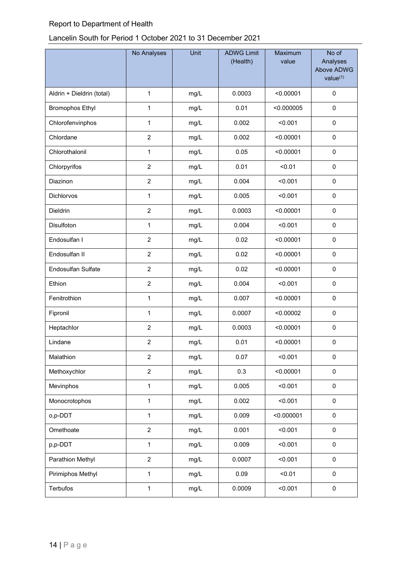## Lancelin South for Period 1 October 2021 to 31 December 2021

|                           | No Analyses    | Unit | <b>ADWG Limit</b><br>(Health) | Maximum<br>value | No of<br>Analyses<br>Above ADWG<br>value <sup>(1)</sup> |
|---------------------------|----------------|------|-------------------------------|------------------|---------------------------------------------------------|
| Aldrin + Dieldrin (total) | 1              | mg/L | 0.0003                        | < 0.00001        | $\pmb{0}$                                               |
| <b>Bromophos Ethyl</b>    | 1              | mg/L | 0.01                          | < 0.000005       | 0                                                       |
| Chlorofenvinphos          | $\mathbf 1$    | mg/L | 0.002                         | < 0.001          | $\pmb{0}$                                               |
| Chlordane                 | $\overline{c}$ | mg/L | 0.002                         | < 0.00001        | $\mathbf 0$                                             |
| Chlorothalonil            | $\mathbf{1}$   | mg/L | 0.05                          | < 0.00001        | $\mathbf 0$                                             |
| Chlorpyrifos              | $\overline{c}$ | mg/L | 0.01                          | < 0.01           | 0                                                       |
| Diazinon                  | $\overline{2}$ | mg/L | 0.004                         | < 0.001          | 0                                                       |
| <b>Dichlorvos</b>         | 1              | mg/L | 0.005                         | < 0.001          | $\pmb{0}$                                               |
| Dieldrin                  | $\overline{c}$ | mg/L | 0.0003                        | < 0.00001        | 0                                                       |
| Disulfoton                | $\mathbf{1}$   | mg/L | 0.004                         | < 0.001          | $\pmb{0}$                                               |
| Endosulfan I              | $\overline{c}$ | mg/L | 0.02                          | < 0.00001        | 0                                                       |
| Endosulfan II             | $\overline{2}$ | mg/L | 0.02                          | < 0.00001        | $\pmb{0}$                                               |
| Endosulfan Sulfate        | $\overline{2}$ | mg/L | 0.02                          | < 0.00001        | $\pmb{0}$                                               |
| Ethion                    | $\overline{c}$ | mg/L | 0.004                         | < 0.001          | $\mathbf 0$                                             |
| Fenitrothion              | $\mathbf 1$    | mg/L | 0.007                         | < 0.00001        | $\pmb{0}$                                               |
| Fipronil                  | 1              | mg/L | 0.0007                        | < 0.00002        | 0                                                       |
| Heptachlor                | $\overline{c}$ | mg/L | 0.0003                        | < 0.00001        | $\pmb{0}$                                               |
| Lindane                   | $\overline{c}$ | mg/L | 0.01                          | < 0.00001        | 0                                                       |
| Malathion                 | $\overline{2}$ | mg/L | 0.07                          | < 0.001          | 0                                                       |
| Methoxychlor              | $\overline{2}$ | mg/L | 0.3                           | < 0.00001        | $\pmb{0}$                                               |
| Mevinphos                 | $\mathbf{1}$   | mg/L | 0.005                         | < 0.001          | $\mathbf 0$                                             |
| Monocrotophos             | $\mathbf{1}$   | mg/L | 0.002                         | < 0.001          | $\pmb{0}$                                               |
| o,p-DDT                   | $\mathbf 1$    | mg/L | 0.009                         | < 0.000001       | $\pmb{0}$                                               |
| Omethoate                 | $\overline{2}$ | mg/L | 0.001                         | < 0.001          | $\pmb{0}$                                               |
| p,p-DDT                   | $\mathbf 1$    | mg/L | 0.009                         | < 0.001          | $\pmb{0}$                                               |
| Parathion Methyl          | $\overline{2}$ | mg/L | 0.0007                        | < 0.001          | $\pmb{0}$                                               |
| Pirimiphos Methyl         | $\mathbf{1}$   | mg/L | 0.09                          | < 0.01           | $\pmb{0}$                                               |
| Terbufos                  | $\mathbf{1}$   | mg/L | 0.0009                        | < 0.001          | $\pmb{0}$                                               |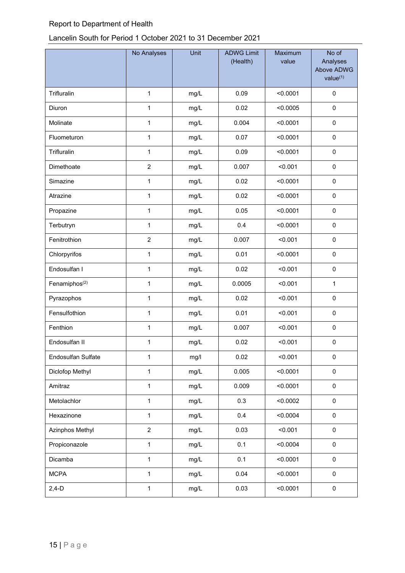## Lancelin South for Period 1 October 2021 to 31 December 2021

|                           | No Analyses    | Unit | <b>ADWG Limit</b><br>(Health) | Maximum<br>value | No of<br>Analyses<br>Above ADWG<br>value <sup>(1)</sup> |
|---------------------------|----------------|------|-------------------------------|------------------|---------------------------------------------------------|
| Trifluralin               | $\mathbf{1}$   | mg/L | 0.09                          | < 0.0001         | $\pmb{0}$                                               |
| Diuron                    | 1              | mg/L | 0.02                          | < 0.0005         | 0                                                       |
| Molinate                  | $\mathbf{1}$   | mg/L | 0.004                         | < 0.0001         | $\pmb{0}$                                               |
| Fluometuron               | 1              | mg/L | 0.07                          | < 0.0001         | $\pmb{0}$                                               |
| Trifluralin               | $\mathbf{1}$   | mg/L | 0.09                          | < 0.0001         | $\pmb{0}$                                               |
| Dimethoate                | $\overline{c}$ | mg/L | 0.007                         | < 0.001          | $\pmb{0}$                                               |
| Simazine                  | $\mathbf{1}$   | mg/L | 0.02                          | < 0.0001         | $\pmb{0}$                                               |
| Atrazine                  | $\mathbf 1$    | mg/L | 0.02                          | < 0.0001         | $\pmb{0}$                                               |
| Propazine                 | $\mathbf{1}$   | mg/L | 0.05                          | < 0.0001         | $\mathbf 0$                                             |
| Terbutryn                 | $\mathbf 1$    | mg/L | 0.4                           | < 0.0001         | $\pmb{0}$                                               |
| Fenitrothion              | $\overline{c}$ | mg/L | 0.007                         | < 0.001          | $\pmb{0}$                                               |
| Chlorpyrifos              | $\mathbf{1}$   | mg/L | 0.01                          | < 0.0001         | $\pmb{0}$                                               |
| Endosulfan I              | 1              | mg/L | 0.02                          | < 0.001          | $\pmb{0}$                                               |
| Fenamiphos <sup>(2)</sup> | $\mathbf 1$    | mg/L | 0.0005                        | < 0.001          | $\mathbf{1}$                                            |
| Pyrazophos                | $\mathbf{1}$   | mg/L | 0.02                          | < 0.001          | $\pmb{0}$                                               |
| Fensulfothion             | $\mathbf{1}$   | mg/L | 0.01                          | < 0.001          | $\pmb{0}$                                               |
| Fenthion                  | $\mathbf{1}$   | mg/L | 0.007                         | < 0.001          | $\pmb{0}$                                               |
| Endosulfan II             | 1              | mg/L | 0.02                          | < 0.001          | 0                                                       |
| Endosulfan Sulfate        | 1              | mg/l | 0.02                          | < 0.001          | 0                                                       |
| Diclofop Methyl           | $\mathbf{1}$   | mg/L | 0.005                         | < 0.0001         | $\pmb{0}$                                               |
| Amitraz                   | $\mathbf{1}$   | mg/L | 0.009                         | < 0.0001         | $\pmb{0}$                                               |
| Metolachlor               | $\mathbf{1}$   | mg/L | 0.3                           | < 0.0002         | $\pmb{0}$                                               |
| Hexazinone                | $\mathbf 1$    | mg/L | 0.4                           | < 0.0004         | $\pmb{0}$                                               |
| Azinphos Methyl           | $\overline{2}$ | mg/L | 0.03                          | < 0.001          | $\pmb{0}$                                               |
| Propiconazole             | $\mathbf 1$    | mg/L | 0.1                           | < 0.0004         | $\pmb{0}$                                               |
| Dicamba                   | $\mathbf{1}$   | mg/L | 0.1                           | < 0.0001         | $\pmb{0}$                                               |
| <b>MCPA</b>               | $\mathbf{1}$   | mg/L | 0.04                          | < 0.0001         | $\pmb{0}$                                               |
| $2,4-D$                   | $\mathbf{1}$   | mg/L | 0.03                          | < 0.0001         | $\pmb{0}$                                               |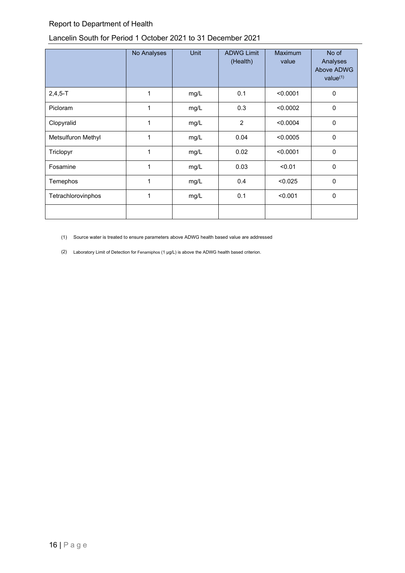## Lancelin South for Period 1 October 2021 to 31 December 2021

|                    | No Analyses | Unit | <b>ADWG Limit</b><br>(Health) | <b>Maximum</b><br>value | No of<br>Analyses<br>Above ADWG<br>value $(1)$ |
|--------------------|-------------|------|-------------------------------|-------------------------|------------------------------------------------|
| $2,4,5 - T$        | 1           | mg/L | 0.1                           | < 0.0001                | 0                                              |
| Picloram           | 1           | mg/L | 0.3                           | < 0.0002                | $\mathbf 0$                                    |
| Clopyralid         | 1           | mg/L | $\overline{2}$                | < 0.0004                | $\Omega$                                       |
| Metsulfuron Methyl | 1           | mg/L | 0.04                          | < 0.0005                | $\mathbf{0}$                                   |
| Triclopyr          | 1           | mg/L | 0.02                          | < 0.0001                | $\mathbf 0$                                    |
| Fosamine           | 1           | mg/L | 0.03                          | < 0.01                  | $\mathbf 0$                                    |
| Temephos           | 1           | mg/L | 0.4                           | < 0.025                 | 0                                              |
| Tetrachlorovinphos | 1           | mg/L | 0.1                           | < 0.001                 | 0                                              |
|                    |             |      |                               |                         |                                                |

(1) Source water is treated to ensure parameters above ADWG health based value are addressed

(2) Laboratory Limit of Detection for Fenamiphos (1 µg/L) is above the ADWG health based criterion.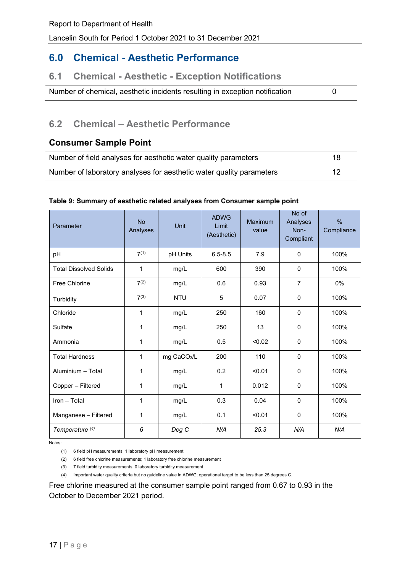## **6.0 Chemical - Aesthetic Performance**

## **6.1 Chemical - Aesthetic - Exception Notifications**

Number of chemical, aesthetic incidents resulting in exception notification 0

## **6.2 Chemical – Aesthetic Performance**

## **Consumer Sample Point**

| Number of field analyses for aesthetic water quality parameters      | 18 |
|----------------------------------------------------------------------|----|
| Number of laboratory analyses for aesthetic water quality parameters | 12 |

#### <span id="page-16-0"></span>**Table 9: Summary of aesthetic related analyses from Consumer sample point**

| Parameter                     | <b>No</b><br>Analyses | Unit                    | <b>ADWG</b><br>Limit<br>(Aesthetic) | <b>Maximum</b><br>value | No of<br>Analyses<br>Non-<br>Compliant | $\frac{0}{0}$<br>Compliance |
|-------------------------------|-----------------------|-------------------------|-------------------------------------|-------------------------|----------------------------------------|-----------------------------|
| pH                            | 7(1)                  | pH Units                | $6.5 - 8.5$                         | 7.9                     | $\mathbf{0}$                           | 100%                        |
| <b>Total Dissolved Solids</b> | 1                     | mg/L                    | 600                                 | 390                     | $\mathbf 0$                            | 100%                        |
| Free Chlorine                 | 7 <sup>(2)</sup>      | mg/L                    | 0.6                                 | 0.93                    | $\overline{7}$                         | 0%                          |
| Turbidity                     | $7^{(3)}$             | <b>NTU</b>              | 5                                   | 0.07                    | $\mathbf{0}$                           | 100%                        |
| Chloride                      | 1                     | mg/L                    | 250                                 | 160                     | $\mathbf{0}$                           | 100%                        |
| Sulfate                       | 1                     | mg/L                    | 250                                 | 13                      | $\mathbf{0}$                           | 100%                        |
| Ammonia                       | $\mathbf{1}$          | mg/L                    | 0.5                                 | < 0.02                  | $\mathbf{0}$                           | 100%                        |
| <b>Total Hardness</b>         | 1                     | mg CaCO <sub>3</sub> /L | 200                                 | 110                     | $\mathbf{0}$                           | 100%                        |
| Aluminium - Total             | 1                     | mg/L                    | 0.2                                 | < 0.01                  | $\mathbf{0}$                           | 100%                        |
| Copper - Filtered             | 1                     | mg/L                    | $\mathbf{1}$                        | 0.012                   | $\mathbf{0}$                           | 100%                        |
| Iron - Total                  | 1                     | mg/L                    | 0.3                                 | 0.04                    | $\mathbf 0$                            | 100%                        |
| Manganese - Filtered          | 1                     | mg/L                    | 0.1                                 | < 0.01                  | $\mathbf 0$                            | 100%                        |
| Temperature <sup>(4)</sup>    | 6                     | Deg C                   | N/A                                 | 25.3                    | N/A                                    | N/A                         |

Notes:

(1) 6 field pH measurements, 1 laboratory pH measurement

(2) 6 field free chlorine measurements; 1 laboratory free chlorine measurement

(3) 7 field turbidity measurements, 0 laboratory turbidity measurement

(4) Important water quality criteria but no guideline value in ADWG; operational target to be less than 25 degrees C.

Free chlorine measured at the consumer sample point ranged from 0.67 to 0.93 in the October to December 2021 period.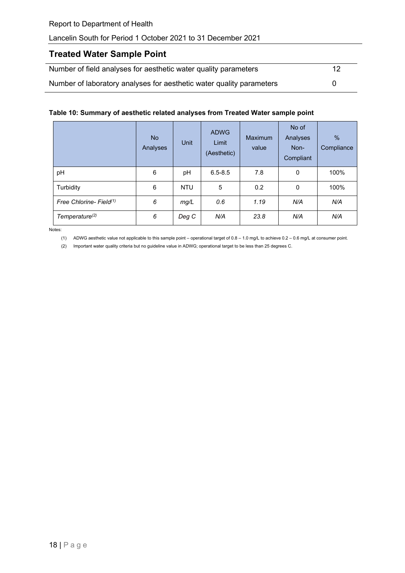## **Treated Water Sample Point**

| Number of field analyses for aesthetic water quality parameters      | 12 |
|----------------------------------------------------------------------|----|
| Number of laboratory analyses for aesthetic water quality parameters |    |

#### <span id="page-17-0"></span>**Table 10: Summary of aesthetic related analyses from Treated Water sample point**

|                                     | <b>No</b><br>Analyses | Unit       | <b>ADWG</b><br>Limit<br>(Aesthetic) | Maximum<br>value | No of<br>Analyses<br>Non-<br>Compliant | $\frac{0}{0}$<br>Compliance |
|-------------------------------------|-----------------------|------------|-------------------------------------|------------------|----------------------------------------|-----------------------------|
| pH                                  | 6                     | pH         | $6.5 - 8.5$                         | 7.8              | 0                                      | 100%                        |
| Turbidity                           | 6                     | <b>NTU</b> | 5                                   | 0.2              | $\mathbf 0$                            | 100%                        |
| Free Chlorine- Field <sup>(1)</sup> | 6                     | mg/L       | 0.6                                 | 1.19             | N/A                                    | N/A                         |
| Temperature <sup>(2)</sup>          | 6                     | Deg C      | N/A                                 | 23.8             | N/A                                    | N/A                         |

Notes:

(1) ADWG aesthetic value not applicable to this sample point – operational target of 0.8 – 1.0 mg/L to achieve 0.2 – 0.6 mg/L at consumer point.

(2) Important water quality criteria but no guideline value in ADWG; operational target to be less than 25 degrees C.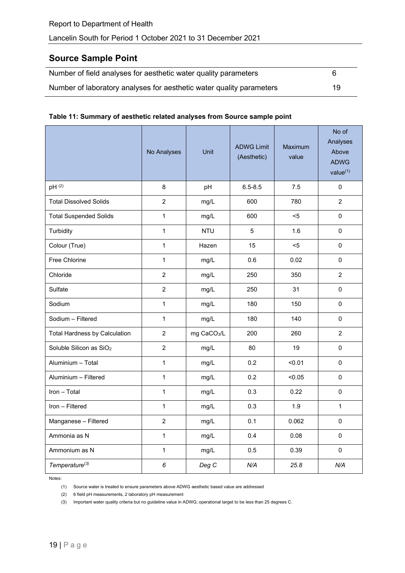## **Source Sample Point**

| Number of field analyses for aesthetic water quality parameters      |    |
|----------------------------------------------------------------------|----|
| Number of laboratory analyses for aesthetic water quality parameters | 19 |

#### <span id="page-18-0"></span>**Table 11: Summary of aesthetic related analyses from Source sample point**

|                                      | No Analyses    | Unit                    | <b>ADWG Limit</b><br>(Aesthetic) | <b>Maximum</b><br>value | No of<br>Analyses<br>Above<br><b>ADWG</b><br>value <sup>(1)</sup> |
|--------------------------------------|----------------|-------------------------|----------------------------------|-------------------------|-------------------------------------------------------------------|
| pH (2)                               | 8              | pH                      | $6.5 - 8.5$                      | 7.5                     | 0                                                                 |
| <b>Total Dissolved Solids</b>        | $\overline{2}$ | mg/L                    | 600                              | 780                     | $\overline{2}$                                                    |
| <b>Total Suspended Solids</b>        | $\mathbf{1}$   | mg/L                    | 600                              | $5$                     | $\Omega$                                                          |
| Turbidity                            | $\mathbf{1}$   | <b>NTU</b>              | 5                                | 1.6                     | 0                                                                 |
| Colour (True)                        | $\mathbf{1}$   | Hazen                   | 15                               | $5$                     | 0                                                                 |
| Free Chlorine                        | $\mathbf{1}$   | mg/L                    | 0.6                              | 0.02                    | $\Omega$                                                          |
| Chloride                             | $\overline{2}$ | mg/L                    | 250                              | 350                     | $\overline{2}$                                                    |
| Sulfate                              | $\overline{2}$ | mg/L                    | 250                              | 31                      | $\mathbf 0$                                                       |
| Sodium                               | $\mathbf{1}$   | mg/L                    | 180                              | 150                     | $\Omega$                                                          |
| Sodium - Filtered                    | $\mathbf{1}$   | mg/L                    | 180                              | 140                     | 0                                                                 |
| <b>Total Hardness by Calculation</b> | $\overline{2}$ | mg CaCO <sub>3</sub> /L | 200                              | 260                     | $\overline{2}$                                                    |
| Soluble Silicon as SiO <sub>2</sub>  | $\overline{2}$ | mg/L                    | 80                               | 19                      | 0                                                                 |
| Aluminium - Total                    | $\mathbf{1}$   | mg/L                    | 0.2                              | < 0.01                  | $\Omega$                                                          |
| Aluminium - Filtered                 | $\mathbf{1}$   | mg/L                    | 0.2                              | < 0.05                  | $\mathbf 0$                                                       |
| Iron - Total                         | $\mathbf{1}$   | mg/L                    | 0.3                              | 0.22                    | 0                                                                 |
| Iron - Filtered                      | $\mathbf{1}$   | mg/L                    | 0.3                              | 1.9                     | 1                                                                 |
| Manganese - Filtered                 | $\overline{2}$ | mg/L                    | 0.1                              | 0.062                   | $\Omega$                                                          |
| Ammonia as N                         | $\mathbf{1}$   | mg/L                    | 0.4                              | 0.08                    | $\mathbf 0$                                                       |
| Ammonium as N                        | $\mathbf{1}$   | mg/L                    | 0.5                              | 0.39                    | $\Omega$                                                          |
| Temperature <sup>(3)</sup>           | 6              | Deg C                   | N/A                              | 25.8                    | N/A                                                               |

Notes:

(1) Source water is treated to ensure parameters above ADWG aesthetic based value are addressed

(2) 6 field pH measurements, 2 laboratory pH measurement

(3) Important water quality criteria but no guideline value in ADWG; operational target to be less than 25 degrees C.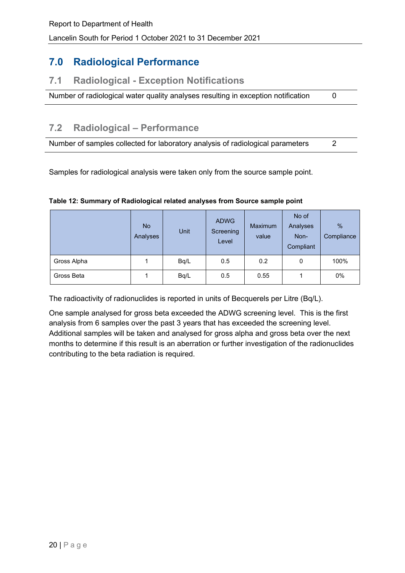# **7.0 Radiological Performance**

## **7.1 Radiological - Exception Notifications**

Number of radiological water quality analyses resulting in exception notification 0

# **7.2 Radiological – Performance**

Number of samples collected for laboratory analysis of radiological parameters 2

Samples for radiological analysis were taken only from the source sample point.

|             | <b>No</b><br>Analyses | Unit | <b>ADWG</b><br>Screening<br>Level | <b>Maximum</b><br>value | No of<br>Analyses<br>Non-<br>Compliant | $\frac{0}{6}$<br>Compliance |
|-------------|-----------------------|------|-----------------------------------|-------------------------|----------------------------------------|-----------------------------|
| Gross Alpha |                       | Bq/L | 0.5                               | 0.2                     | 0                                      | 100%                        |
| Gross Beta  |                       | Bq/L | 0.5                               | 0.55                    |                                        | 0%                          |

#### <span id="page-19-0"></span>**Table 12: Summary of Radiological related analyses from Source sample point**

The radioactivity of radionuclides is reported in units of Becquerels per Litre (Bq/L).

One sample analysed for gross beta exceeded the ADWG screening level. This is the first analysis from 6 samples over the past 3 years that has exceeded the screening level. Additional samples will be taken and analysed for gross alpha and gross beta over the next months to determine if this result is an aberration or further investigation of the radionuclides contributing to the beta radiation is required.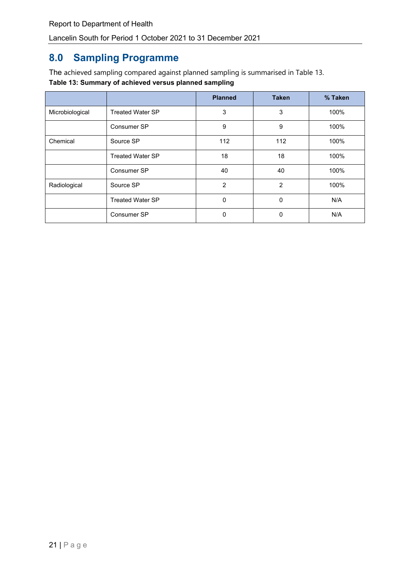# **8.0 Sampling Programme**

<span id="page-20-0"></span>The achieved sampling compared against planned sampling is summarised in Table 13. **Table 13: Summary of achieved versus planned sampling**

|                 |                         | <b>Planned</b> | <b>Taken</b> | % Taken |
|-----------------|-------------------------|----------------|--------------|---------|
| Microbiological | <b>Treated Water SP</b> | 3              | 3            | 100%    |
|                 | Consumer SP             | 9              | 9            | 100%    |
| Chemical        | Source SP               | 112            | 112          | 100%    |
|                 | <b>Treated Water SP</b> | 18             | 18           | 100%    |
|                 | Consumer SP             | 40             | 40           | 100%    |
| Radiological    | Source SP               | $\overline{2}$ | 2            | 100%    |
|                 | <b>Treated Water SP</b> | 0              | 0            | N/A     |
|                 | Consumer SP             | 0              | 0            | N/A     |